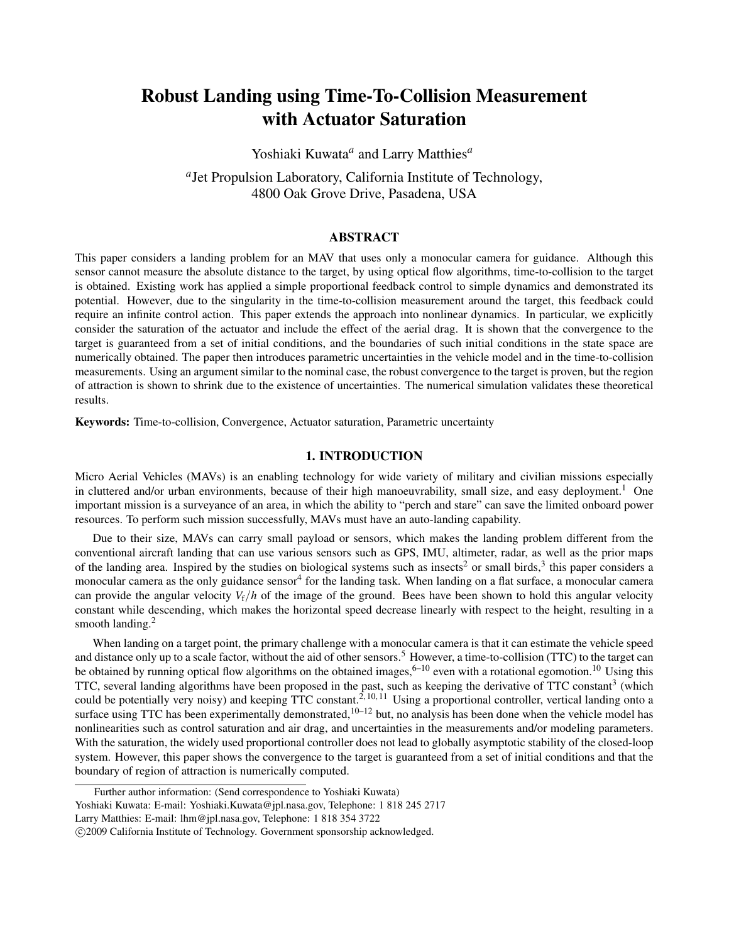# Robust Landing using Time-To-Collision Measurement with Actuator Saturation

Yoshiaki Kuwata*<sup>a</sup>* and Larry Matthies*<sup>a</sup>*

*a* Jet Propulsion Laboratory, California Institute of Technology, 4800 Oak Grove Drive, Pasadena, USA

### ABSTRACT

This paper considers a landing problem for an MAV that uses only a monocular camera for guidance. Although this sensor cannot measure the absolute distance to the target, by using optical flow algorithms, time-to-collision to the target is obtained. Existing work has applied a simple proportional feedback control to simple dynamics and demonstrated its potential. However, due to the singularity in the time-to-collision measurement around the target, this feedback could require an infinite control action. This paper extends the approach into nonlinear dynamics. In particular, we explicitly consider the saturation of the actuator and include the effect of the aerial drag. It is shown that the convergence to the target is guaranteed from a set of initial conditions, and the boundaries of such initial conditions in the state space are numerically obtained. The paper then introduces parametric uncertainties in the vehicle model and in the time-to-collision measurements. Using an argument similar to the nominal case, the robust convergence to the target is proven, but the region of attraction is shown to shrink due to the existence of uncertainties. The numerical simulation validates these theoretical results.

Keywords: Time-to-collision, Convergence, Actuator saturation, Parametric uncertainty

## 1. INTRODUCTION

Micro Aerial Vehicles (MAVs) is an enabling technology for wide variety of military and civilian missions especially in cluttered and/or urban environments, because of their high manoeuvrability, small size, and easy deployment.<sup>1</sup> One important mission is a surveyance of an area, in which the ability to "perch and stare" can save the limited onboard power resources. To perform such mission successfully, MAVs must have an auto-landing capability.

Due to their size, MAVs can carry small payload or sensors, which makes the landing problem different from the conventional aircraft landing that can use various sensors such as GPS, IMU, altimeter, radar, as well as the prior maps of the landing area. Inspired by the studies on biological systems such as insects<sup>2</sup> or small birds,<sup>3</sup> this paper considers a monocular camera as the only guidance sensor<sup>4</sup> for the landing task. When landing on a flat surface, a monocular camera can provide the angular velocity  $V_f/h$  of the image of the ground. Bees have been shown to hold this angular velocity constant while descending, which makes the horizontal speed decrease linearly with respect to the height, resulting in a smooth landing.<sup>2</sup>

When landing on a target point, the primary challenge with a monocular camera is that it can estimate the vehicle speed and distance only up to a scale factor, without the aid of other sensors.<sup>5</sup> However, a time-to-collision (TTC) to the target can be obtained by running optical flow algorithms on the obtained images,  $6-10$  even with a rotational egomotion.<sup>10</sup> Using this TTC, several landing algorithms have been proposed in the past, such as keeping the derivative of TTC constant<sup>3</sup> (which could be potentially very noisy) and keeping TTC constant.<sup>2, 10, 11</sup> Using a proportional controller, vertical landing onto a surface using TTC has been experimentally demonstrated,  $10-12$  but, no analysis has been done when the vehicle model has nonlinearities such as control saturation and air drag, and uncertainties in the measurements and/or modeling parameters. With the saturation, the widely used proportional controller does not lead to globally asymptotic stability of the closed-loop system. However, this paper shows the convergence to the target is guaranteed from a set of initial conditions and that the boundary of region of attraction is numerically computed.

Further author information: (Send correspondence to Yoshiaki Kuwata) Yoshiaki Kuwata: E-mail: Yoshiaki.Kuwata@jpl.nasa.gov, Telephone: 1 818 245 2717 Larry Matthies: E-mail: lhm@jpl.nasa.gov, Telephone: 1 818 354 3722

c 2009 California Institute of Technology. Government sponsorship acknowledged.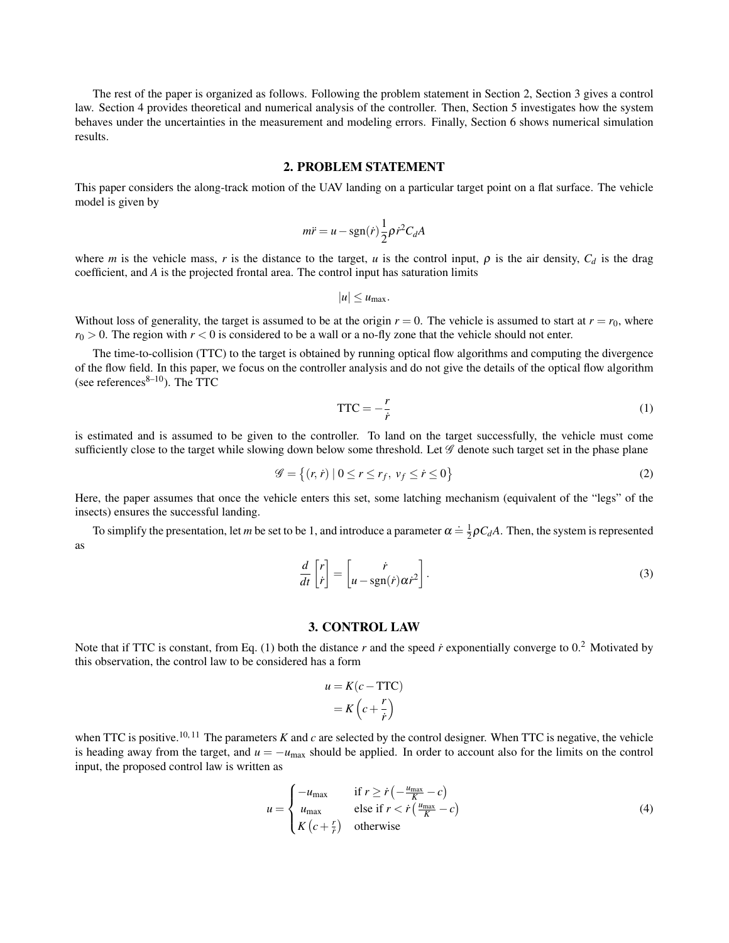The rest of the paper is organized as follows. Following the problem statement in Section 2, Section 3 gives a control law. Section 4 provides theoretical and numerical analysis of the controller. Then, Section 5 investigates how the system behaves under the uncertainties in the measurement and modeling errors. Finally, Section 6 shows numerical simulation results.

#### 2. PROBLEM STATEMENT

This paper considers the along-track motion of the UAV landing on a particular target point on a flat surface. The vehicle model is given by

$$
m\ddot{r} = u - \text{sgn}(\dot{r})\frac{1}{2}\rho \dot{r}^2 C_d A
$$

where *m* is the vehicle mass, *r* is the distance to the target, *u* is the control input,  $\rho$  is the air density,  $C_d$  is the drag coefficient, and *A* is the projected frontal area. The control input has saturation limits

$$
|u|\leq u_{\max}.
$$

Without loss of generality, the target is assumed to be at the origin  $r = 0$ . The vehicle is assumed to start at  $r = r_0$ , where  $r_0 > 0$ . The region with  $r < 0$  is considered to be a wall or a no-fly zone that the vehicle should not enter.

The time-to-collision (TTC) to the target is obtained by running optical flow algorithms and computing the divergence of the flow field. In this paper, we focus on the controller analysis and do not give the details of the optical flow algorithm (see references $8-10$ ). The TTC

$$
TTC = -\frac{r}{\dot{r}}\tag{1}
$$

is estimated and is assumed to be given to the controller. To land on the target successfully, the vehicle must come sufficiently close to the target while slowing down below some threshold. Let  $\mathscr G$  denote such target set in the phase plane

$$
\mathcal{G} = \left\{ (r, \dot{r}) \mid 0 \le r \le r_f, \ v_f \le \dot{r} \le 0 \right\} \tag{2}
$$

Here, the paper assumes that once the vehicle enters this set, some latching mechanism (equivalent of the "legs" of the insects) ensures the successful landing.

To simplify the presentation, let *m* be set to be 1, and introduce a parameter  $\alpha = \frac{1}{2}\rho C_dA$ . Then, the system is represented as

$$
\frac{d}{dt}\begin{bmatrix} r \\ \dot{r} \end{bmatrix} = \begin{bmatrix} \dot{r} \\ u - \text{sgn}(\dot{r})\alpha \dot{r}^2 \end{bmatrix}.
$$
\n(3)

#### 3. CONTROL LAW

Note that if TTC is constant, from Eq. (1) both the distance  $r$  and the speed  $\dot{r}$  exponentially converge to 0.<sup>2</sup> Motivated by this observation, the control law to be considered has a form

$$
u = K(c - \text{TTC})
$$

$$
= K\left(c + \frac{r}{r}\right)
$$

when TTC is positive.<sup>10, 11</sup> The parameters  $K$  and  $c$  are selected by the control designer. When TTC is negative, the vehicle is heading away from the target, and  $u = -u_{\text{max}}$  should be applied. In order to account also for the limits on the control input, the proposed control law is written as

$$
u = \begin{cases} -u_{\text{max}} & \text{if } r \ge r \left( -\frac{u_{\text{max}}}{K} - c \right) \\ u_{\text{max}} & \text{else if } r < r \left( \frac{u_{\text{max}}}{K} - c \right) \\ K \left( c + \frac{r}{r} \right) & \text{otherwise} \end{cases} \tag{4}
$$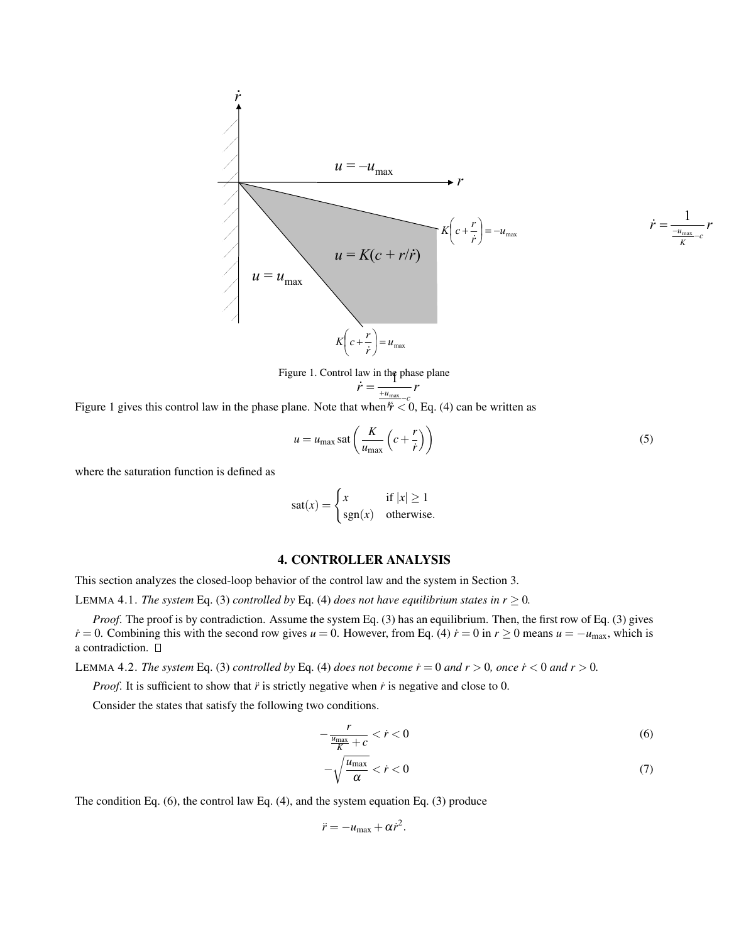$$
u = -u_{\max}
$$
\n  
\n
$$
u = K(c + r/r)
$$
\n  
\n
$$
u = K(c + r/r)
$$
\n  
\n
$$
K(c + \frac{r}{r}) = -u_{\max}
$$
\n  
\n
$$
K(c + \frac{r}{r}) = u_{\max}
$$

Figure 1. Control law in the phase plane<br> $\dot{r} = \frac{1}{t} \frac{dV}{dr} r$ 

$$
\dot{r} = \frac{1}{\frac{+u_{\text{max}}}{r} - c} r
$$

Figure 1 gives this control law in the phase plane. Note that when  $\frac{F}{\epsilon} < 0$ , Eq. (4) can be written as

$$
u = u_{\text{max}} \text{ sat}\left(\frac{K}{u_{\text{max}}}\left(c + \frac{r}{\dot{r}}\right)\right) \tag{5}
$$

 $\dot{r} = \frac{1}{-u}$  $\dot{r} = \frac{1}{\frac{-u_{\text{max}}}{K} - c}$ 

where the saturation function is defined as

$$
sat(x) = \begin{cases} x & \text{if } |x| \ge 1\\ \text{sgn}(x) & \text{otherwise.} \end{cases}
$$

#### 4. CONTROLLER ANALYSIS

This section analyzes the closed-loop behavior of the control law and the system in Section 3.

LEMMA 4.1. *The system* Eq. (3) *controlled by* Eq. (4) *does not have equilibrium states in*  $r \ge 0$ *.* 

*Proof*. The proof is by contradiction. Assume the system Eq. (3) has an equilibrium. Then, the first row of Eq. (3) gives  $\dot{r} = 0$ . Combining this with the second row gives  $u = 0$ . However, from Eq. (4)  $\dot{r} = 0$  in  $r \ge 0$  means  $u = -u_{\text{max}}$ , which is a contradiction.  $\square$ 

LEMMA 4.2. *The system* Eq. (3) *controlled by* Eq. (4) *does not become*  $\dot{r} = 0$  *and*  $r > 0$ *, once*  $\dot{r} < 0$  *and*  $r > 0$ *.* 

*Proof.* It is sufficient to show that  $\ddot{r}$  is strictly negative when  $\dot{r}$  is negative and close to 0.

Consider the states that satisfy the following two conditions.

$$
-\frac{r}{\frac{u_{\text{max}}}{K} + c} < \dot{r} < 0 \tag{6}
$$

$$
-\sqrt{\frac{u_{\text{max}}}{\alpha}} < r < 0\tag{7}
$$

The condition Eq. (6), the control law Eq. (4), and the system equation Eq. (3) produce

$$
\ddot{r}=-u_{\text{max}}+\alpha \dot{r}^2.
$$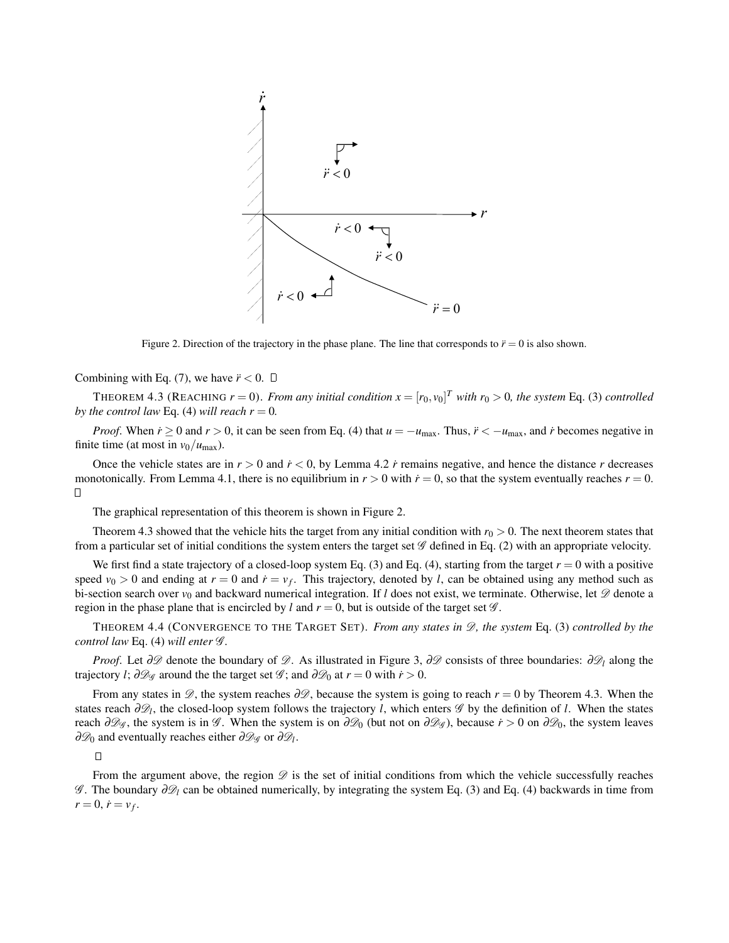

Figure 2. Direction of the trajectory in the phase plane. The line that corresponds to  $\ddot{r} = 0$  is also shown.

Combining with Eq. (7), we have  $\ddot{r} < 0$ .  $\Box$ 

THEOREM 4.3 (REACHING  $r = 0$ ). *From any initial condition*  $x = [r_0, v_0]^T$  *with*  $r_0 > 0$ , the system Eq. (3) *controlled by the control law* Eq. (4) *will reach*  $r = 0$ *.* 

*Proof.* When  $\dot{r} \ge 0$  and  $r > 0$ , it can be seen from Eq. (4) that  $u = -u_{\text{max}}$ . Thus,  $\ddot{r} < -u_{\text{max}}$ , and  $\dot{r}$  becomes negative in finite time (at most in  $v_0/u_{\text{max}}$ ).

Once the vehicle states are in  $r > 0$  and  $\dot{r} < 0$ , by Lemma 4.2  $\dot{r}$  remains negative, and hence the distance  $r$  decreases monotonically. From Lemma 4.1, there is no equilibrium in  $r > 0$  with  $\dot{r} = 0$ , so that the system eventually reaches  $r = 0$ .  $\Box$ 

The graphical representation of this theorem is shown in Figure 2.

Theorem 4.3 showed that the vehicle hits the target from any initial condition with  $r_0 > 0$ . The next theorem states that from a particular set of initial conditions the system enters the target set  $\mathscr G$  defined in Eq. (2) with an appropriate velocity.

We first find a state trajectory of a closed-loop system Eq. (3) and Eq. (4), starting from the target  $r = 0$  with a positive speed  $v_0 > 0$  and ending at  $r = 0$  and  $\dot{r} = v_f$ . This trajectory, denoted by *l*, can be obtained using any method such as bi-section search over  $v_0$  and backward numerical integration. If *l* does not exist, we terminate. Otherwise, let  $\mathscr D$  denote a region in the phase plane that is encircled by *l* and  $r = 0$ , but is outside of the target set  $\mathscr{G}$ .

THEOREM 4.4 (CONVERGENCE TO THE TARGET SET). *From any states in* D*, the system* Eq. (3) *controlled by the control law* Eq. (4) *will enter*  $\mathcal{G}$ *.* 

*Proof.* Let ∂*D* denote the boundary of *D*. As illustrated in Figure 3, ∂*D* consists of three boundaries: ∂*D*<sub>*l*</sub> along the trajectory *l*;  $\partial \mathcal{D}_{\mathcal{G}}$  around the the target set  $\mathcal{G}$ ; and  $\partial \mathcal{D}_0$  at  $r = 0$  with  $\dot{r} > 0$ .

From any states in  $\mathscr{D}$ , the system reaches  $\partial \mathscr{D}$ , because the system is going to reach  $r = 0$  by Theorem 4.3. When the states reach ∂D*<sup>l</sup>* , the closed-loop system follows the trajectory *l*, which enters G by the definition of *l*. When the states reach  $\partial \mathscr{D}_{\mathscr{G}}$ , the system is in  $\mathscr{G}$ . When the system is on  $\partial \mathscr{D}_0$  (but not on  $\partial \mathscr{D}_{\mathscr{G}}$ ), because  $\dot{r} > 0$  on  $\partial \mathscr{D}_0$ , the system leaves ∂ $\mathscr{D}_0$  and eventually reaches either ∂ $\mathscr{D}_\mathscr{G}$  or ∂ $\mathscr{D}_l$ .

 $\Box$ 

From the argument above, the region  $\mathscr D$  is the set of initial conditions from which the vehicle successfully reaches G . The boundary ∂D*<sup>l</sup>* can be obtained numerically, by integrating the system Eq. (3) and Eq. (4) backwards in time from  $r = 0, \, \dot{r} = v_f.$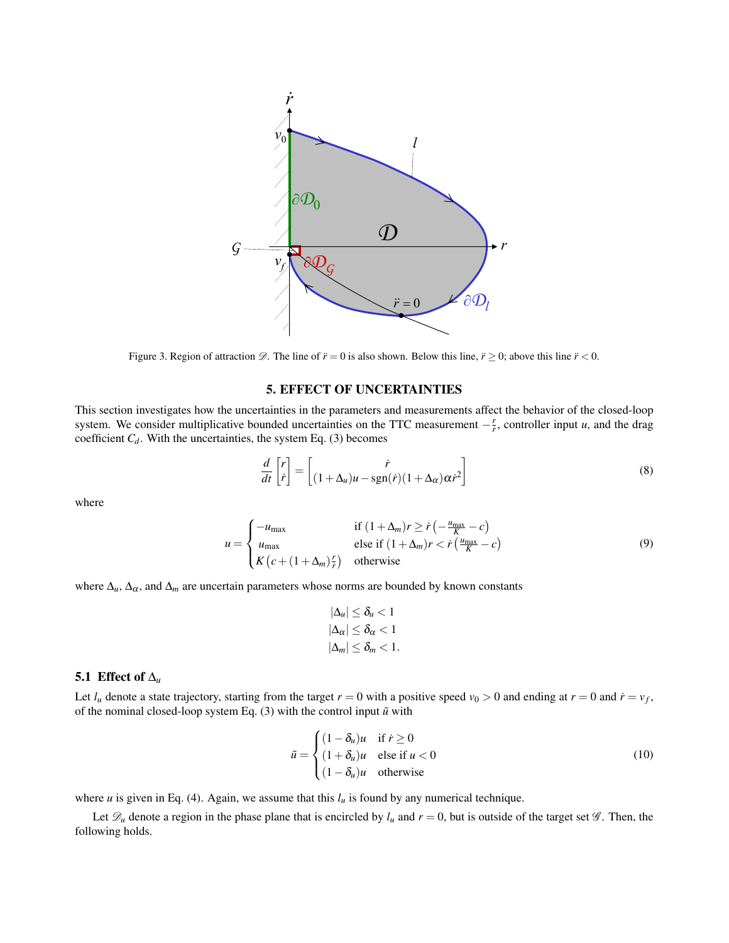

Figure 3. Region of attraction  $\mathscr{D}$ . The line of  $\ddot{r} = 0$  is also shown. Below this line,  $\ddot{r} \ge 0$ ; above this line  $\ddot{r} < 0$ .

## 5. EFFECT OF UNCERTAINTIES

This section investigates how the uncertainties in the parameters and measurements affect the behavior of the closed-loop system. We consider multiplicative bounded uncertainties on the TTC measurement  $-\frac{r}{\dot{r}}$ , controller input *u*, and the drag coefficient  $C_d$ . With the uncertainties, the system Eq. (3) becomes

$$
\frac{d}{dt}\begin{bmatrix} r \\ \dot{r} \end{bmatrix} = \begin{bmatrix} \dot{r} \\ (1 + \Delta_u)u - \text{sgn}(\dot{r})(1 + \Delta_\alpha)\alpha \dot{r}^2 \end{bmatrix}
$$
\n(8)

where

$$
u = \begin{cases} -u_{\text{max}} & \text{if } (1 + \Delta_m)r \ge r\left(-\frac{u_{\text{max}}}{K} - c\right) \\ u_{\text{max}} & \text{else if } (1 + \Delta_m)r < r\left(\frac{u_{\text{max}}}{K} - c\right) \\ K\left(c + (1 + \Delta_m)\frac{r}{r}\right) & \text{otherwise} \end{cases} \tag{9}
$$

where  $\Delta_u$ ,  $\Delta_\alpha$ , and  $\Delta_m$  are uncertain parameters whose norms are bounded by known constants

$$
|\Delta_u| \le \delta_u < 1
$$
  

$$
|\Delta_{\alpha}| \le \delta_{\alpha} < 1
$$
  

$$
|\Delta_m| \le \delta_m < 1.
$$

## 5.1 Effect of  $\Delta_u$

Let  $l_u$  denote a state trajectory, starting from the target  $r = 0$  with a positive speed  $v_0 > 0$  and ending at  $r = 0$  and  $\dot{r} = v_f$ , of the nominal closed-loop system Eq.  $(3)$  with the control input  $\tilde{u}$  with

$$
\tilde{u} = \begin{cases}\n(1 - \delta_u)u & \text{if } r \ge 0 \\
(1 + \delta_u)u & \text{else if } u < 0 \\
(1 - \delta_u)u & \text{otherwise}\n\end{cases}
$$
\n(10)

where *u* is given in Eq. (4). Again, we assume that this  $l_u$  is found by any numerical technique.

Let  $\mathscr{D}_u$  denote a region in the phase plane that is encircled by  $l_u$  and  $r = 0$ , but is outside of the target set  $\mathscr{G}$ . Then, the following holds.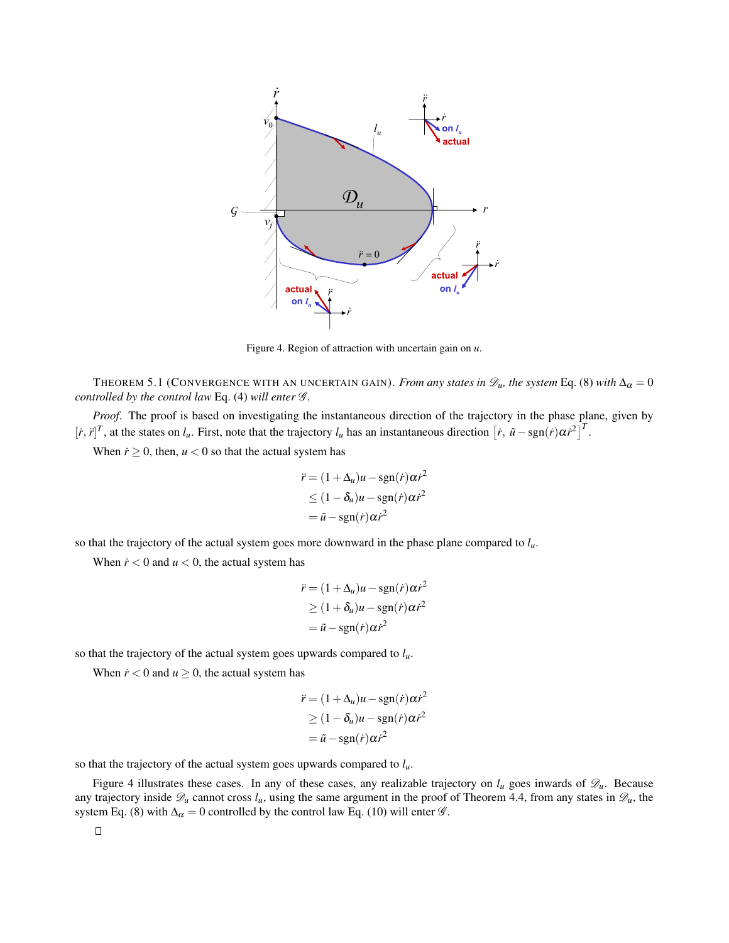

Figure 4. Region of attraction with uncertain gain on *u*.

THEOREM 5.1 (CONVERGENCE WITH AN UNCERTAIN GAIN). *From any states in*  $\mathscr{D}_u$ *, the system* Eq. (8) *with*  $\Delta_{\alpha} = 0$ *controlled by the control law Eq. (4) will enter*  $\mathcal{G}$ *.* 

*Proof*. The proof is based on investigating the instantaneous direction of the trajectory in the phase plane, given by  $[\dot{r}, \ddot{r}]^T$ , at the states on  $l_u$ . First, note that the trajectory  $l_u$  has an instantaneous direction  $[\dot{r}, \ddot{u} - \text{sgn}(\dot{r})\alpha \dot{r}^2]^T$ .

When  $\dot{r} \ge 0$ , then,  $u < 0$  so that the actual system has

$$
\ddot{r} = (1 + \Delta_u)u - \text{sgn}(\dot{r})\alpha\dot{r}^2
$$
  
\n
$$
\leq (1 - \delta_u)u - \text{sgn}(\dot{r})\alpha\dot{r}^2
$$
  
\n
$$
= \tilde{u} - \text{sgn}(\dot{r})\alpha\dot{r}^2
$$

so that the trajectory of the actual system goes more downward in the phase plane compared to *lu*.

When  $\dot{r}$  < 0 and  $u$  < 0, the actual system has

$$
\ddot{r} = (1 + \Delta_u)u - \text{sgn}(\dot{r})\alpha\dot{r}^2
$$

$$
\geq (1 + \delta_u)u - \text{sgn}(\dot{r})\alpha\dot{r}^2
$$

$$
= \tilde{u} - \text{sgn}(\dot{r})\alpha\dot{r}^2
$$

so that the trajectory of the actual system goes upwards compared to *lu*.

When  $\dot{r}$  < 0 and  $u \ge 0$ , the actual system has

$$
\ddot{r} = (1 + \Delta_u)u - \text{sgn}(\dot{r})\alpha\dot{r}^2
$$

$$
\geq (1 - \delta_u)u - \text{sgn}(\dot{r})\alpha\dot{r}^2
$$

$$
= \tilde{u} - \text{sgn}(\dot{r})\alpha\dot{r}^2
$$

so that the trajectory of the actual system goes upwards compared to *lu*.

Figure 4 illustrates these cases. In any of these cases, any realizable trajectory on  $l_u$  goes inwards of  $\mathscr{D}_u$ . Because any trajectory inside  $\mathscr{D}_u$  cannot cross  $l_u$ , using the same argument in the proof of Theorem 4.4, from any states in  $\mathscr{D}_u$ , the system Eq. (8) with  $\Delta_{\alpha} = 0$  controlled by the control law Eq. (10) will enter  $\mathscr{G}$ .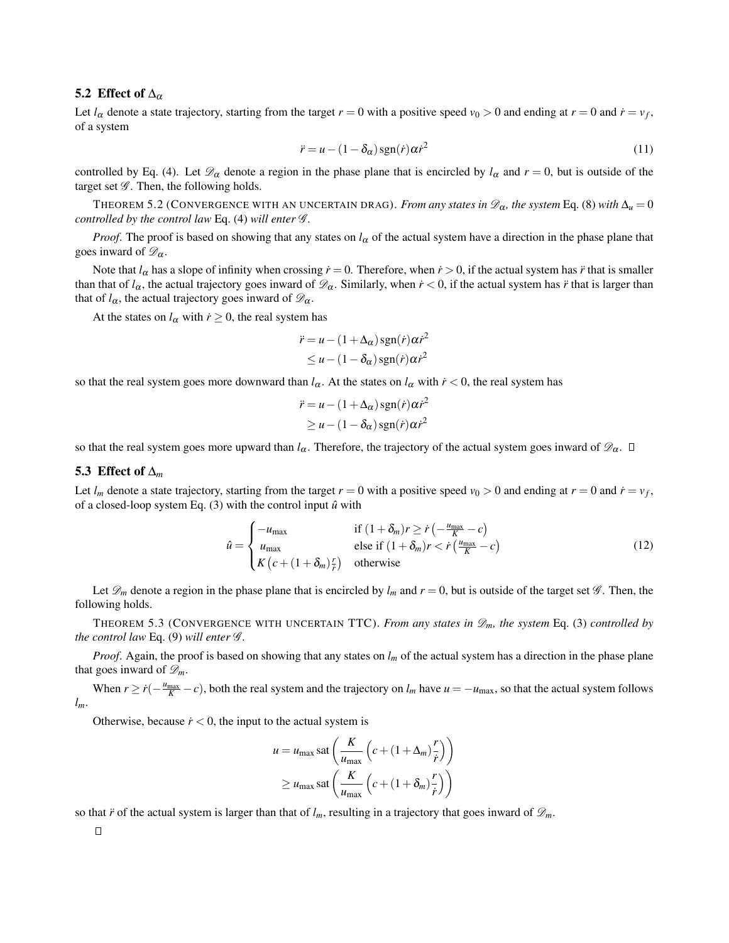#### 5.2 Effect of  $\Delta_{\alpha}$

Let  $l_{\alpha}$  denote a state trajectory, starting from the target  $r = 0$  with a positive speed  $v_0 > 0$  and ending at  $r = 0$  and  $\dot{r} = v_f$ , of a system

$$
\ddot{r} = u - (1 - \delta_{\alpha}) \operatorname{sgn}(\dot{r}) \alpha \dot{r}^2 \tag{11}
$$

controlled by Eq. (4). Let  $\mathscr{D}_{\alpha}$  denote a region in the phase plane that is encircled by  $l_{\alpha}$  and  $r = 0$ , but is outside of the target set  $\mathscr G$ . Then, the following holds.

THEOREM 5.2 (CONVERGENCE WITH AN UNCERTAIN DRAG). *From any states in*  $\mathscr{D}_{\alpha}$ , the system Eq. (8) with  $\Delta_{\mu} = 0$ *controlled by the control law Eq. (4) will enter*  $\mathcal{G}$ *.* 

*Proof.* The proof is based on showing that any states on  $l_\alpha$  of the actual system have a direction in the phase plane that goes inward of  $\mathscr{D}_{\alpha}$ .

Note that  $l_{\alpha}$  has a slope of infinity when crossing  $\dot{r} = 0$ . Therefore, when  $\dot{r} > 0$ , if the actual system has  $\ddot{r}$  that is smaller than that of  $l_\alpha$ , the actual trajectory goes inward of  $\mathcal{D}_\alpha$ . Similarly, when  $r < 0$ , if the actual system has  $\ddot{r}$  that is larger than that of  $l_{\alpha}$ , the actual trajectory goes inward of  $\mathscr{D}_{\alpha}$ .

At the states on  $l_{\alpha}$  with  $\dot{r} \geq 0$ , the real system has

$$
\ddot{r} = u - (1 + \Delta_{\alpha}) \operatorname{sgn}(\dot{r}) \alpha \dot{r}^{2}
$$

$$
\leq u - (1 - \delta_{\alpha}) \operatorname{sgn}(\dot{r}) \alpha \dot{r}^{2}
$$

so that the real system goes more downward than  $l_{\alpha}$ . At the states on  $l_{\alpha}$  with  $\dot{r}$  < 0, the real system has

$$
\ddot{r} = u - (1 + \Delta_{\alpha}) \operatorname{sgn}(\dot{r}) \alpha \dot{r}^{2}
$$

$$
\geq u - (1 - \delta_{\alpha}) \operatorname{sgn}(\dot{r}) \alpha \dot{r}^{2}
$$

so that the real system goes more upward than *l*<sub>α</sub>. Therefore, the trajectory of the actual system goes inward of  $\mathscr{D}_{\alpha}$ .  $\square$ 

## 5.3 Effect of ∆*<sup>m</sup>*

Let  $l_m$  denote a state trajectory, starting from the target  $r = 0$  with a positive speed  $v_0 > 0$  and ending at  $r = 0$  and  $\dot{r} = v_f$ , of a closed-loop system Eq.  $(3)$  with the control input  $\hat{u}$  with

$$
\hat{u} = \begin{cases}\n-u_{\text{max}} & \text{if } (1 + \delta_m)r \ge r\left(-\frac{u_{\text{max}}}{K} - c\right) \\
u_{\text{max}} & \text{else if } (1 + \delta_m)r < r\left(\frac{u_{\text{max}}}{K} - c\right) \\
K\left(c + (1 + \delta_m)\frac{r}{r}\right) & \text{otherwise}\n\end{cases} \tag{12}
$$

Let  $\mathscr{D}_m$  denote a region in the phase plane that is encircled by  $l_m$  and  $r = 0$ , but is outside of the target set  $\mathscr G$ . Then, the following holds.

THEOREM 5.3 (CONVERGENCE WITH UNCERTAIN TTC). *From any states in*  $\mathscr{D}_m$ , the system Eq. (3) *controlled by the control law* Eq.  $(9)$  *will enter*  $\mathcal{G}$ *.* 

*Proof*. Again, the proof is based on showing that any states on *l<sup>m</sup>* of the actual system has a direction in the phase plane that goes inward of  $\mathscr{D}_m$ .

When  $r \ge \dot{r}(-\frac{u_{\text{max}}}{K} - c)$ , both the real system and the trajectory on  $l_m$  have  $u = -u_{\text{max}}$ , so that the actual system follows *lm*.

Otherwise, because  $\dot{r}$  < 0, the input to the actual system is

$$
u = u_{\max} \operatorname{sat} \left( \frac{K}{u_{\max}} \left( c + (1 + \Delta_m) \frac{r}{\dot{r}} \right) \right)
$$
  
 
$$
\geq u_{\max} \operatorname{sat} \left( \frac{K}{u_{\max}} \left( c + (1 + \delta_m) \frac{r}{\dot{r}} \right) \right)
$$

so that  $\ddot{r}$  of the actual system is larger than that of  $l_m$ , resulting in a trajectory that goes inward of  $\mathscr{D}_m$ .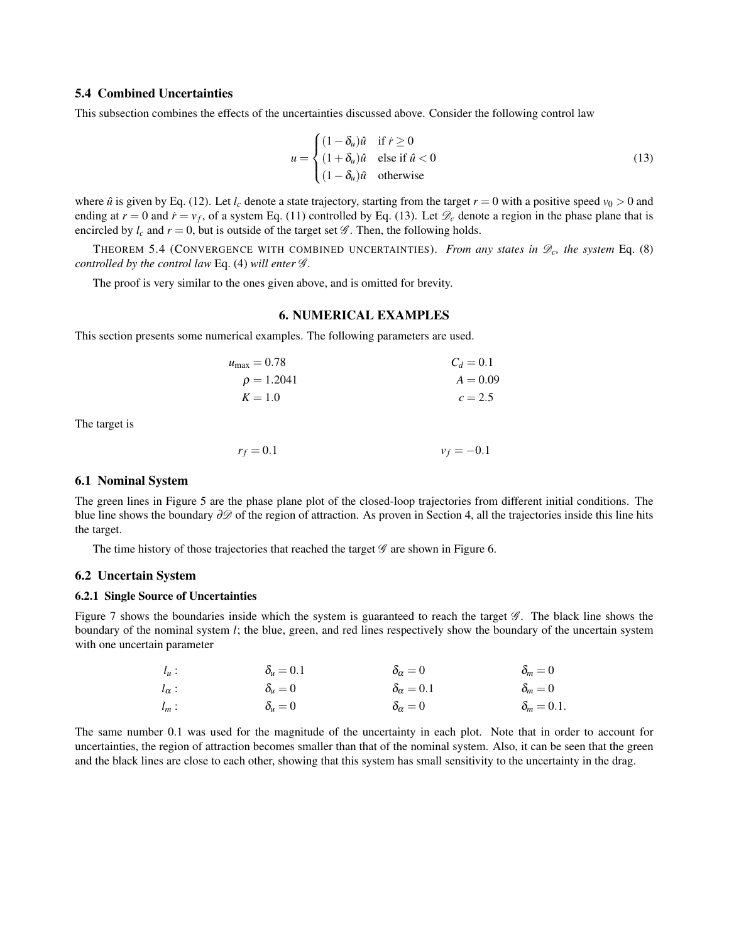### 5.4 Combined Uncertainties

This subsection combines the effects of the uncertainties discussed above. Consider the following control law

$$
u = \begin{cases} (1 - \delta_u)\hat{u} & \text{if } \dot{r} \ge 0\\ (1 + \delta_u)\hat{u} & \text{else if } \hat{u} < 0\\ (1 - \delta_u)\hat{u} & \text{otherwise} \end{cases}
$$
(13)

where  $\hat{u}$  is given by Eq. (12). Let  $l_c$  denote a state trajectory, starting from the target  $r = 0$  with a positive speed  $v_0 > 0$  and ending at  $r = 0$  and  $\dot{r} = v_f$ , of a system Eq. (11) controlled by Eq. (13). Let  $\mathcal{D}_c$  denote a region in the phase plane that is encircled by  $l_c$  and  $r = 0$ , but is outside of the target set  $\mathscr G$ . Then, the following holds.

THEOREM 5.4 (CONVERGENCE WITH COMBINED UNCERTAINTIES). *From any states in* D*c, the system* Eq. (8) *controlled by the control law Eq. (4) will enter*  $\mathcal{G}$ *.* 

The proof is very similar to the ones given above, and is omitted for brevity.

## 6. NUMERICAL EXAMPLES

This section presents some numerical examples. The following parameters are used.

$$
u_{\text{max}} = 0.78
$$
  
\n
$$
\rho = 1.2041
$$
  
\n
$$
K = 1.0
$$
  
\n
$$
c_d = 0.1
$$
  
\n
$$
A = 0.09
$$
  
\n
$$
c = 2.5
$$

The target is

 $r_f = 0.1$  *v*<sub>f</sub> = −0.1

#### 6.1 Nominal System

The green lines in Figure 5 are the phase plane plot of the closed-loop trajectories from different initial conditions. The blue line shows the boundary ∂ $\mathscr D$  of the region of attraction. As proven in Section 4, all the trajectories inside this line hits the target.

The time history of those trajectories that reached the target  $\mathscr G$  are shown in Figure 6.

#### 6.2 Uncertain System

#### 6.2.1 Single Source of Uncertainties

Figure 7 shows the boundaries inside which the system is guaranteed to reach the target  $\mathscr{G}$ . The black line shows the boundary of the nominal system *l*; the blue, green, and red lines respectively show the boundary of the uncertain system with one uncertain parameter

| $l_u$ :        | $\delta_u=0.1$   | $\delta_{\alpha}=0$   | $\delta_m=0$       |
|----------------|------------------|-----------------------|--------------------|
| $l_{\alpha}$ : | $\delta_u=0$     | $\delta_{\alpha}=0.1$ | $\delta_m=0$       |
| $l_m$ :        | $\delta_{\mu}=0$ | $\delta_{\alpha}=0$   | $\delta_m = 0.1$ . |

The same number 0.1 was used for the magnitude of the uncertainty in each plot. Note that in order to account for uncertainties, the region of attraction becomes smaller than that of the nominal system. Also, it can be seen that the green and the black lines are close to each other, showing that this system has small sensitivity to the uncertainty in the drag.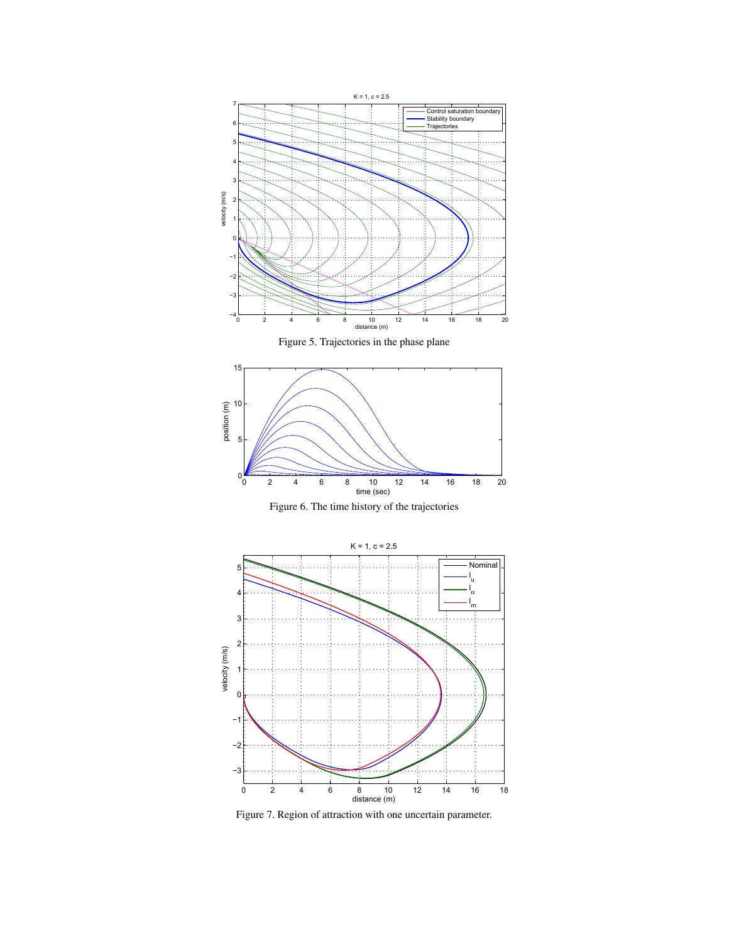

Figure 5. Trajectories in the phase plane



Figure 6. The time history of the trajectories



Figure 7. Region of attraction with one uncertain parameter.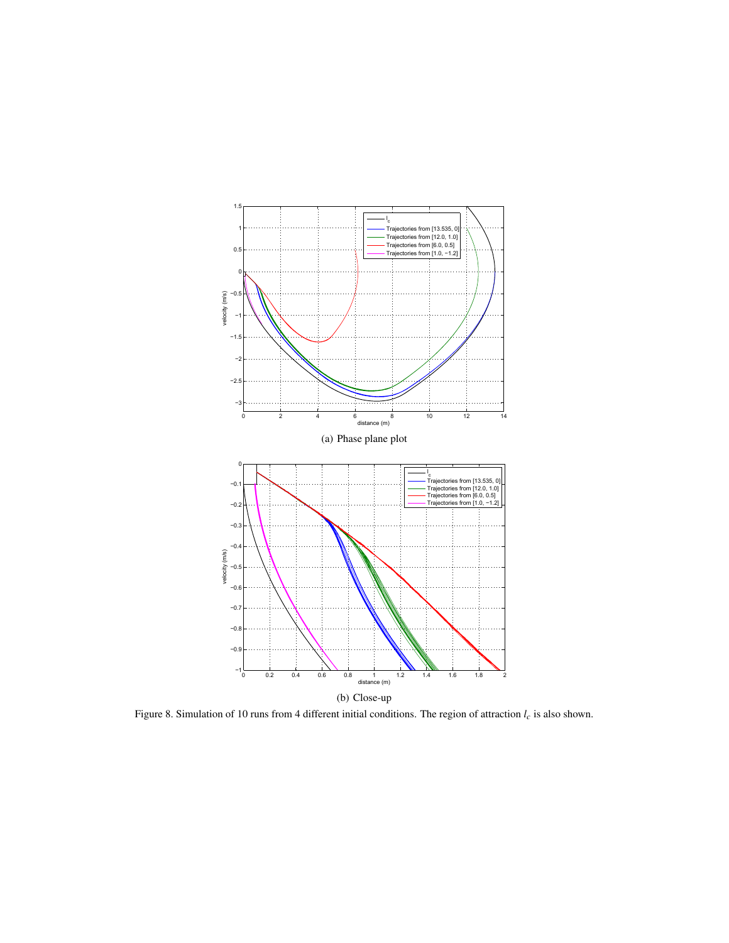

Figure 8. Simulation of 10 runs from 4 different initial conditions. The region of attraction *lc* is also shown.